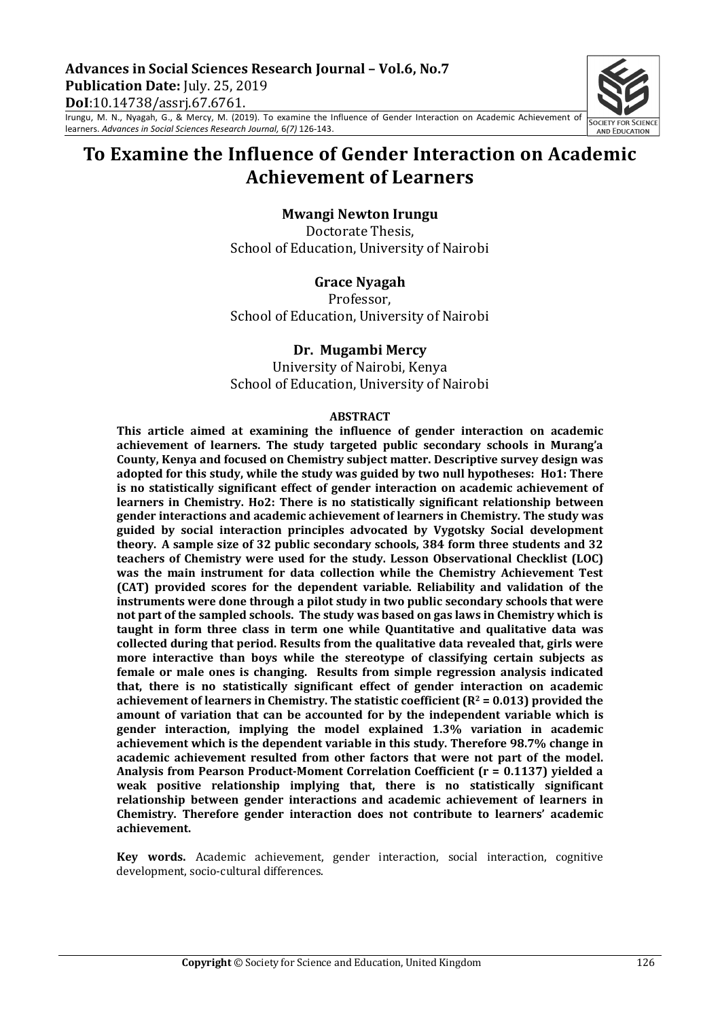Irungu, M. N., Nyagah, G., & Mercy, M. (2019). To examine the Influence of Gender Interaction on Academic Achievement of learners. *Advances in Social Sciences Research Journal,* 6*(7)* 126-143.

# **To Examine the Influence of Gender Interaction on Academic Achievement of Learners**

### **Mwangi Newton Irungu**

Doctorate Thesis, School of Education, University of Nairobi

#### **Grace Nyagah**

Professor, School of Education, University of Nairobi

#### **Dr. Mugambi Mercy**

University of Nairobi, Kenya School of Education, University of Nairobi

#### **ABSTRACT**

This article aimed at examining the influence of gender interaction on academic achievement of learners. The study targeted public secondary schools in Murang'a County, Kenya and focused on Chemistry subject matter. Descriptive survey design was adopted for this study, while the study was guided by two null hypotheses: Ho1: There is no statistically significant effect of gender interaction on academic achievement of **learners in Chemistry. Ho2: There is no statistically significant relationship between gender interactions and academic achievement of learners in Chemistry. The study was guided by social interaction principles advocated by Vygotsky Social development**  theory. A sample size of 32 public secondary schools, 384 form three students and 32 teachers of Chemistry were used for the study. Lesson Observational Checklist (LOC) was the main instrument for data collection while the Chemistry Achievement Test **(CAT)** provided scores for the dependent variable. Reliability and validation of the **instruments were done through a pilot study in two public secondary schools that were** not part of the sampled schools. The study was based on gas laws in Chemistry which is taught in form three class in term one while Quantitative and qualitative data was collected during that period. Results from the qualitative data revealed that, girls were more interactive than boys while the stereotype of classifying certain subjects as **female or male ones is changing. Results from simple regression analysis indicated that, there is no statistically significant effect of gender interaction on academic** achievement of learners in Chemistry. The statistic coefficient  $(R^2 = 0.013)$  provided the amount of variation that can be accounted for by the independent variable which is **gender interaction, implying the model explained 1.3% variation in academic**  achievement which is the dependent variable in this study. Therefore 98.7% change in academic achievement resulted from other factors that were not part of the model. Analysis from Pearson Product-Moment Correlation Coefficient (r = 0.1137) yielded a weak positive relationship implying that, there is no statistically significant relationship between gender interactions and academic achievement of learners in Chemistry. Therefore gender interaction does not contribute to learners' academic **achievement.**

**Key words.** Academic achievement, gender interaction, social interaction, cognitive development, socio-cultural differences.

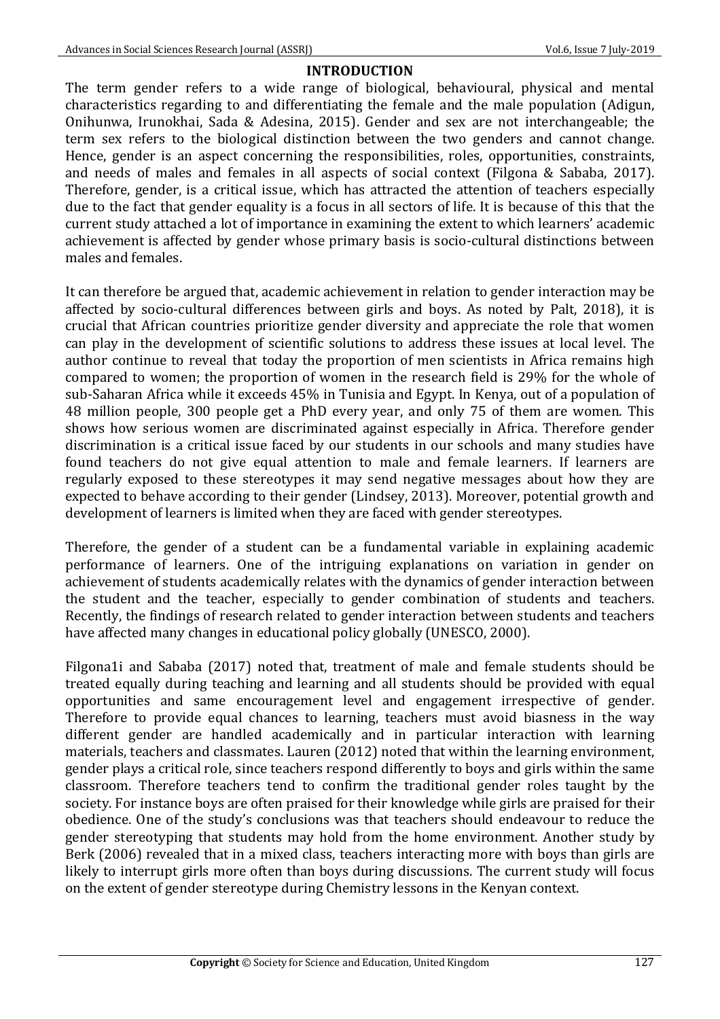## **INTRODUCTION**

The term gender refers to a wide range of biological, behavioural, physical and mental characteristics regarding to and differentiating the female and the male population (Adigun, Onihunwa, Irunokhai, Sada & Adesina, 2015). Gender and sex are not interchangeable; the term sex refers to the biological distinction between the two genders and cannot change. Hence, gender is an aspect concerning the responsibilities, roles, opportunities, constraints, and needs of males and females in all aspects of social context (Filgona & Sababa, 2017). Therefore, gender, is a critical issue, which has attracted the attention of teachers especially due to the fact that gender equality is a focus in all sectors of life. It is because of this that the current study attached a lot of importance in examining the extent to which learners' academic achievement is affected by gender whose primary basis is socio-cultural distinctions between males and females.

It can therefore be argued that, academic achievement in relation to gender interaction may be affected by socio-cultural differences between girls and boys. As noted by Palt, 2018), it is crucial that African countries prioritize gender diversity and appreciate the role that women can play in the development of scientific solutions to address these issues at local level. The author continue to reveal that today the proportion of men scientists in Africa remains high compared to women; the proportion of women in the research field is 29% for the whole of sub-Saharan Africa while it exceeds 45% in Tunisia and Egypt. In Kenya, out of a population of 48 million people, 300 people get a PhD every year, and only 75 of them are women. This shows how serious women are discriminated against especially in Africa. Therefore gender discrimination is a critical issue faced by our students in our schools and many studies have found teachers do not give equal attention to male and female learners. If learners are regularly exposed to these stereotypes it may send negative messages about how they are expected to behave according to their gender (Lindsey, 2013). Moreover, potential growth and development of learners is limited when they are faced with gender stereotypes.

Therefore, the gender of a student can be a fundamental variable in explaining academic performance of learners. One of the intriguing explanations on variation in gender on achievement of students academically relates with the dynamics of gender interaction between the student and the teacher, especially to gender combination of students and teachers. Recently, the findings of research related to gender interaction between students and teachers have affected many changes in educational policy globally (UNESCO, 2000).

Filgona1i and Sababa (2017) noted that, treatment of male and female students should be treated equally during teaching and learning and all students should be provided with equal opportunities and same encouragement level and engagement irrespective of gender. Therefore to provide equal chances to learning, teachers must avoid biasness in the way different gender are handled academically and in particular interaction with learning materials, teachers and classmates. Lauren (2012) noted that within the learning environment, gender plays a critical role, since teachers respond differently to boys and girls within the same classroom. Therefore teachers tend to confirm the traditional gender roles taught by the society. For instance boys are often praised for their knowledge while girls are praised for their obedience. One of the study's conclusions was that teachers should endeavour to reduce the gender stereotyping that students may hold from the home environment. Another study by Berk (2006) revealed that in a mixed class, teachers interacting more with boys than girls are likely to interrupt girls more often than boys during discussions. The current study will focus on the extent of gender stereotype during Chemistry lessons in the Kenyan context.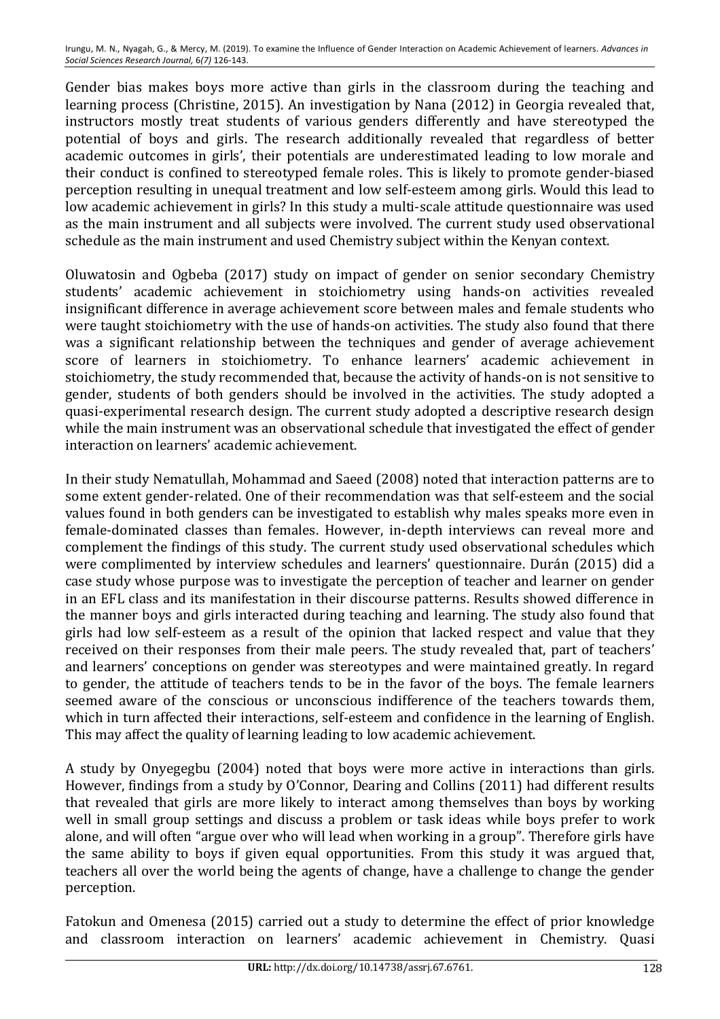Gender bias makes boys more active than girls in the classroom during the teaching and learning process (Christine, 2015). An investigation by Nana (2012) in Georgia revealed that, instructors mostly treat students of various genders differently and have stereotyped the potential of boys and girls. The research additionally revealed that regardless of better academic outcomes in girls', their potentials are underestimated leading to low morale and their conduct is confined to stereotyped female roles. This is likely to promote gender-biased perception resulting in unequal treatment and low self-esteem among girls. Would this lead to low academic achievement in girls? In this study a multi-scale attitude questionnaire was used as the main instrument and all subjects were involved. The current study used observational schedule as the main instrument and used Chemistry subject within the Kenyan context.

Oluwatosin and Ogbeba (2017) study on impact of gender on senior secondary Chemistry students' academic achievement in stoichiometry using hands-on activities revealed insignificant difference in average achievement score between males and female students who were taught stoichiometry with the use of hands-on activities. The study also found that there was a significant relationship between the techniques and gender of average achievement score of learners in stoichiometry. To enhance learners' academic achievement in stoichiometry, the study recommended that, because the activity of hands-on is not sensitive to gender, students of both genders should be involved in the activities. The study adopted a quasi-experimental research design. The current study adopted a descriptive research design while the main instrument was an observational schedule that investigated the effect of gender interaction on learners' academic achievement.

In their study Nematullah, Mohammad and Saeed (2008) noted that interaction patterns are to some extent gender-related. One of their recommendation was that self-esteem and the social values found in both genders can be investigated to establish why males speaks more even in female-dominated classes than females. However, in-depth interviews can reveal more and complement the findings of this study. The current study used observational schedules which were complimented by interview schedules and learners' questionnaire. Durán (2015) did a case study whose purpose was to investigate the perception of teacher and learner on gender in an EFL class and its manifestation in their discourse patterns. Results showed difference in the manner boys and girls interacted during teaching and learning. The study also found that girls had low self-esteem as a result of the opinion that lacked respect and value that they received on their responses from their male peers. The study revealed that, part of teachers' and learners' conceptions on gender was stereotypes and were maintained greatly. In regard to gender, the attitude of teachers tends to be in the favor of the boys. The female learners seemed aware of the conscious or unconscious indifference of the teachers towards them, which in turn affected their interactions, self-esteem and confidence in the learning of English. This may affect the quality of learning leading to low academic achievement.

A study by Onyegegbu (2004) noted that boys were more active in interactions than girls. However, findings from a study by O'Connor, Dearing and Collins (2011) had different results that revealed that girls are more likely to interact among themselves than boys by working well in small group settings and discuss a problem or task ideas while boys prefer to work alone, and will often "argue over who will lead when working in a group". Therefore girls have the same ability to boys if given equal opportunities. From this study it was argued that, teachers all over the world being the agents of change, have a challenge to change the gender perception.

Fatokun and Omenesa (2015) carried out a study to determine the effect of prior knowledge and classroom interaction on learners' academic achievement in Chemistry. Quasi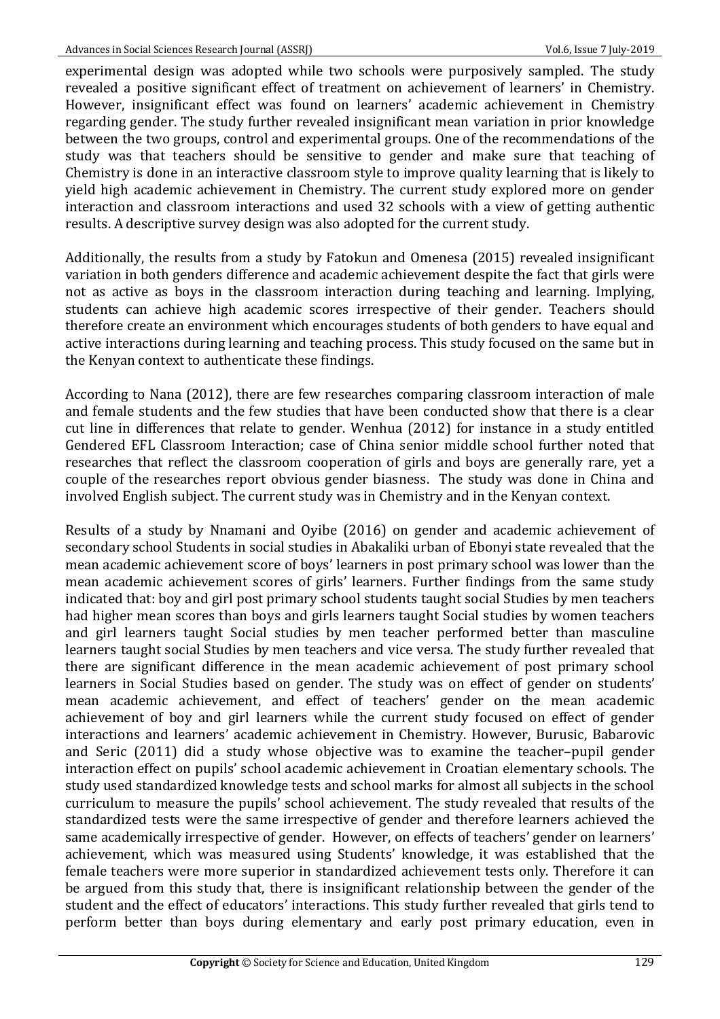experimental design was adopted while two schools were purposively sampled. The study revealed a positive significant effect of treatment on achievement of learners' in Chemistry. However, insignificant effect was found on learners' academic achievement in Chemistry regarding gender. The study further revealed insignificant mean variation in prior knowledge between the two groups, control and experimental groups. One of the recommendations of the study was that teachers should be sensitive to gender and make sure that teaching of Chemistry is done in an interactive classroom style to improve quality learning that is likely to yield high academic achievement in Chemistry. The current study explored more on gender interaction and classroom interactions and used 32 schools with a view of getting authentic results. A descriptive survey design was also adopted for the current study.

Additionally, the results from a study by Fatokun and Omenesa (2015) revealed insignificant variation in both genders difference and academic achievement despite the fact that girls were not as active as boys in the classroom interaction during teaching and learning. Implying, students can achieve high academic scores irrespective of their gender. Teachers should therefore create an environment which encourages students of both genders to have equal and active interactions during learning and teaching process. This study focused on the same but in the Kenyan context to authenticate these findings.

According to Nana (2012), there are few researches comparing classroom interaction of male and female students and the few studies that have been conducted show that there is a clear cut line in differences that relate to gender. Wenhua (2012) for instance in a study entitled Gendered EFL Classroom Interaction; case of China senior middle school further noted that researches that reflect the classroom cooperation of girls and boys are generally rare, yet a couple of the researches report obvious gender biasness. The study was done in China and involved English subject. The current study was in Chemistry and in the Kenyan context.

Results of a study by Nnamani and Oyibe (2016) on gender and academic achievement of secondary school Students in social studies in Abakaliki urban of Ebonyi state revealed that the mean academic achievement score of boys' learners in post primary school was lower than the mean academic achievement scores of girls' learners. Further findings from the same study indicated that: boy and girl post primary school students taught social Studies by men teachers had higher mean scores than boys and girls learners taught Social studies by women teachers and girl learners taught Social studies by men teacher performed better than masculine learners taught social Studies by men teachers and vice versa. The study further revealed that there are significant difference in the mean academic achievement of post primary school learners in Social Studies based on gender. The study was on effect of gender on students' mean academic achievement, and effect of teachers' gender on the mean academic achievement of boy and girl learners while the current study focused on effect of gender interactions and learners' academic achievement in Chemistry. However, Burusic, Babarovic and Seric (2011) did a study whose objective was to examine the teacher–pupil gender interaction effect on pupils' school academic achievement in Croatian elementary schools. The study used standardized knowledge tests and school marks for almost all subjects in the school curriculum to measure the pupils' school achievement. The study revealed that results of the standardized tests were the same irrespective of gender and therefore learners achieved the same academically irrespective of gender. However, on effects of teachers' gender on learners' achievement, which was measured using Students' knowledge, it was established that the female teachers were more superior in standardized achievement tests only. Therefore it can be argued from this study that, there is insignificant relationship between the gender of the student and the effect of educators' interactions. This study further revealed that girls tend to perform better than boys during elementary and early post primary education, even in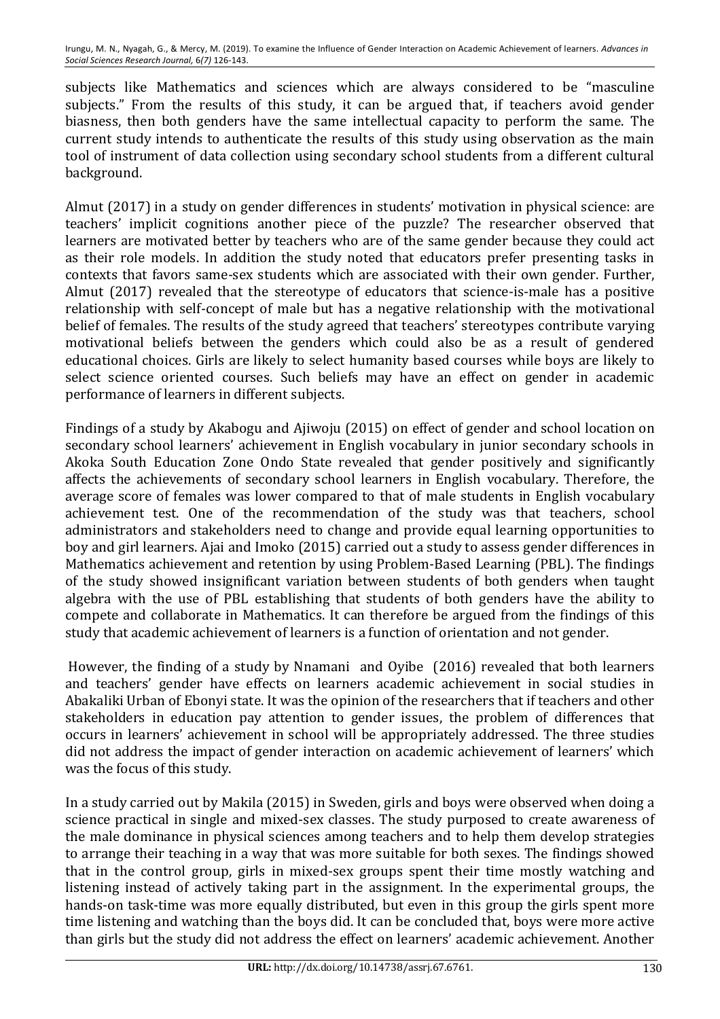subjects like Mathematics and sciences which are always considered to be "masculine subjects." From the results of this study, it can be argued that, if teachers avoid gender biasness, then both genders have the same intellectual capacity to perform the same. The current study intends to authenticate the results of this study using observation as the main tool of instrument of data collection using secondary school students from a different cultural background.

Almut (2017) in a study on gender differences in students' motivation in physical science: are teachers' implicit cognitions another piece of the puzzle? The researcher observed that learners are motivated better by teachers who are of the same gender because they could act as their role models. In addition the study noted that educators prefer presenting tasks in contexts that favors same-sex students which are associated with their own gender. Further, Almut (2017) revealed that the stereotype of educators that science-is-male has a positive relationship with self-concept of male but has a negative relationship with the motivational belief of females. The results of the study agreed that teachers' stereotypes contribute varying motivational beliefs between the genders which could also be as a result of gendered educational choices. Girls are likely to select humanity based courses while boys are likely to select science oriented courses. Such beliefs may have an effect on gender in academic performance of learners in different subjects.

Findings of a study by Akabogu and Ajiwoju (2015) on effect of gender and school location on secondary school learners' achievement in English vocabulary in junior secondary schools in Akoka South Education Zone Ondo State revealed that gender positively and significantly affects the achievements of secondary school learners in English vocabulary. Therefore, the average score of females was lower compared to that of male students in English vocabulary achievement test. One of the recommendation of the study was that teachers, school administrators and stakeholders need to change and provide equal learning opportunities to boy and girl learners. Ajai and Imoko (2015) carried out a study to assess gender differences in Mathematics achievement and retention by using Problem-Based Learning (PBL). The findings of the study showed insignificant variation between students of both genders when taught algebra with the use of PBL establishing that students of both genders have the ability to compete and collaborate in Mathematics. It can therefore be argued from the findings of this study that academic achievement of learners is a function of orientation and not gender.

However, the finding of a study by Nnamani and Oyibe (2016) revealed that both learners and teachers' gender have effects on learners academic achievement in social studies in Abakaliki Urban of Ebonyi state. It was the opinion of the researchers that if teachers and other stakeholders in education pay attention to gender issues, the problem of differences that occurs in learners' achievement in school will be appropriately addressed. The three studies did not address the impact of gender interaction on academic achievement of learners' which was the focus of this study.

In a study carried out by Makila (2015) in Sweden, girls and boys were observed when doing a science practical in single and mixed-sex classes. The study purposed to create awareness of the male dominance in physical sciences among teachers and to help them develop strategies to arrange their teaching in a way that was more suitable for both sexes. The findings showed that in the control group, girls in mixed-sex groups spent their time mostly watching and listening instead of actively taking part in the assignment. In the experimental groups, the hands-on task-time was more equally distributed, but even in this group the girls spent more time listening and watching than the boys did. It can be concluded that, boys were more active than girls but the study did not address the effect on learners' academic achievement. Another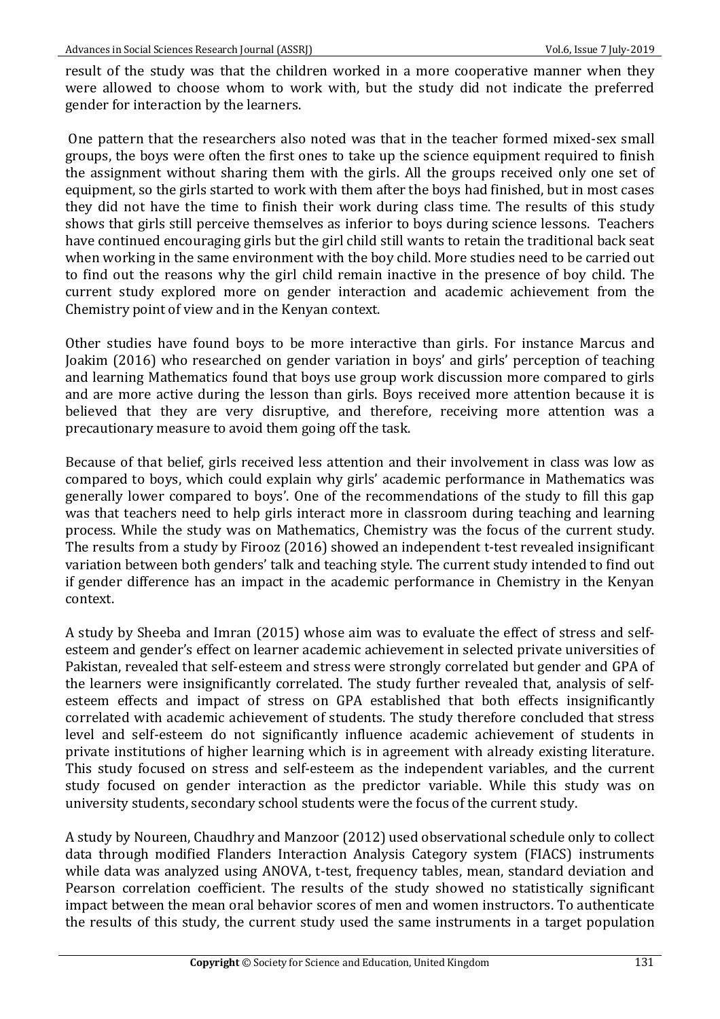result of the study was that the children worked in a more cooperative manner when they were allowed to choose whom to work with, but the study did not indicate the preferred gender for interaction by the learners.

One pattern that the researchers also noted was that in the teacher formed mixed-sex small groups, the boys were often the first ones to take up the science equipment required to finish the assignment without sharing them with the girls. All the groups received only one set of equipment, so the girls started to work with them after the boys had finished, but in most cases they did not have the time to finish their work during class time. The results of this study shows that girls still perceive themselves as inferior to boys during science lessons. Teachers have continued encouraging girls but the girl child still wants to retain the traditional back seat when working in the same environment with the boy child. More studies need to be carried out to find out the reasons why the girl child remain inactive in the presence of boy child. The current study explored more on gender interaction and academic achievement from the Chemistry point of view and in the Kenyan context.

Other studies have found boys to be more interactive than girls. For instance Marcus and Joakim (2016) who researched on gender variation in boys' and girls' perception of teaching and learning Mathematics found that boys use group work discussion more compared to girls and are more active during the lesson than girls. Boys received more attention because it is believed that they are very disruptive, and therefore, receiving more attention was a precautionary measure to avoid them going off the task.

Because of that belief, girls received less attention and their involvement in class was low as compared to boys, which could explain why girls' academic performance in Mathematics was generally lower compared to boys'. One of the recommendations of the study to fill this gap was that teachers need to help girls interact more in classroom during teaching and learning process. While the study was on Mathematics, Chemistry was the focus of the current study. The results from a study by Firooz (2016) showed an independent t-test revealed insignificant variation between both genders' talk and teaching style. The current study intended to find out if gender difference has an impact in the academic performance in Chemistry in the Kenyan context.

A study by Sheeba and Imran (2015) whose aim was to evaluate the effect of stress and selfesteem and gender's effect on learner academic achievement in selected private universities of Pakistan, revealed that self-esteem and stress were strongly correlated but gender and GPA of the learners were insignificantly correlated. The study further revealed that, analysis of selfesteem effects and impact of stress on GPA established that both effects insignificantly correlated with academic achievement of students. The study therefore concluded that stress level and self-esteem do not significantly influence academic achievement of students in private institutions of higher learning which is in agreement with already existing literature. This study focused on stress and self-esteem as the independent variables, and the current study focused on gender interaction as the predictor variable. While this study was on university students, secondary school students were the focus of the current study.

A study by Noureen, Chaudhry and Manzoor (2012) used observational schedule only to collect data through modified Flanders Interaction Analysis Category system (FIACS) instruments while data was analyzed using ANOVA, t-test, frequency tables, mean, standard deviation and Pearson correlation coefficient. The results of the study showed no statistically significant impact between the mean oral behavior scores of men and women instructors. To authenticate the results of this study, the current study used the same instruments in a target population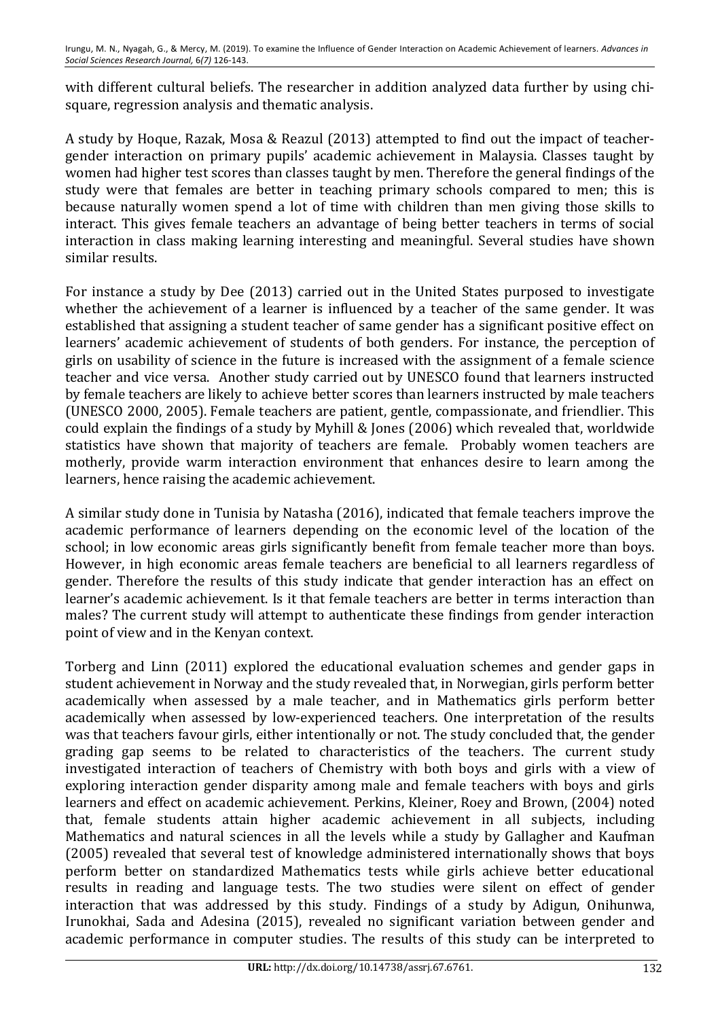with different cultural beliefs. The researcher in addition analyzed data further by using chisquare, regression analysis and thematic analysis.

A study by Hoque, Razak, Mosa & Reazul (2013) attempted to find out the impact of teachergender interaction on primary pupils' academic achievement in Malaysia. Classes taught by women had higher test scores than classes taught by men. Therefore the general findings of the study were that females are better in teaching primary schools compared to men; this is because naturally women spend a lot of time with children than men giving those skills to interact. This gives female teachers an advantage of being better teachers in terms of social interaction in class making learning interesting and meaningful. Several studies have shown similar results.

For instance a study by Dee (2013) carried out in the United States purposed to investigate whether the achievement of a learner is influenced by a teacher of the same gender. It was established that assigning a student teacher of same gender has a significant positive effect on learners' academic achievement of students of both genders. For instance, the perception of girls on usability of science in the future is increased with the assignment of a female science teacher and vice versa. Another study carried out by UNESCO found that learners instructed by female teachers are likely to achieve better scores than learners instructed by male teachers (UNESCO 2000, 2005). Female teachers are patient, gentle, compassionate, and friendlier. This could explain the findings of a study by Myhill & Jones (2006) which revealed that, worldwide statistics have shown that majority of teachers are female. Probably women teachers are motherly, provide warm interaction environment that enhances desire to learn among the learners, hence raising the academic achievement.

A similar study done in Tunisia by Natasha (2016), indicated that female teachers improve the academic performance of learners depending on the economic level of the location of the school; in low economic areas girls significantly benefit from female teacher more than boys. However, in high economic areas female teachers are beneficial to all learners regardless of gender. Therefore the results of this study indicate that gender interaction has an effect on learner's academic achievement. Is it that female teachers are better in terms interaction than males? The current study will attempt to authenticate these findings from gender interaction point of view and in the Kenyan context.

Torberg and Linn (2011) explored the educational evaluation schemes and gender gaps in student achievement in Norway and the study revealed that, in Norwegian, girls perform better academically when assessed by a male teacher, and in Mathematics girls perform better academically when assessed by low-experienced teachers. One interpretation of the results was that teachers favour girls, either intentionally or not. The study concluded that, the gender grading gap seems to be related to characteristics of the teachers. The current study investigated interaction of teachers of Chemistry with both boys and girls with a view of exploring interaction gender disparity among male and female teachers with boys and girls learners and effect on academic achievement. Perkins, Kleiner, Roey and Brown, (2004) noted that, female students attain higher academic achievement in all subjects, including Mathematics and natural sciences in all the levels while a study by Gallagher and Kaufman (2005) revealed that several test of knowledge administered internationally shows that boys perform better on standardized Mathematics tests while girls achieve better educational results in reading and language tests. The two studies were silent on effect of gender interaction that was addressed by this study. Findings of a study by Adigun, Onihunwa, Irunokhai, Sada and Adesina (2015), revealed no significant variation between gender and academic performance in computer studies. The results of this study can be interpreted to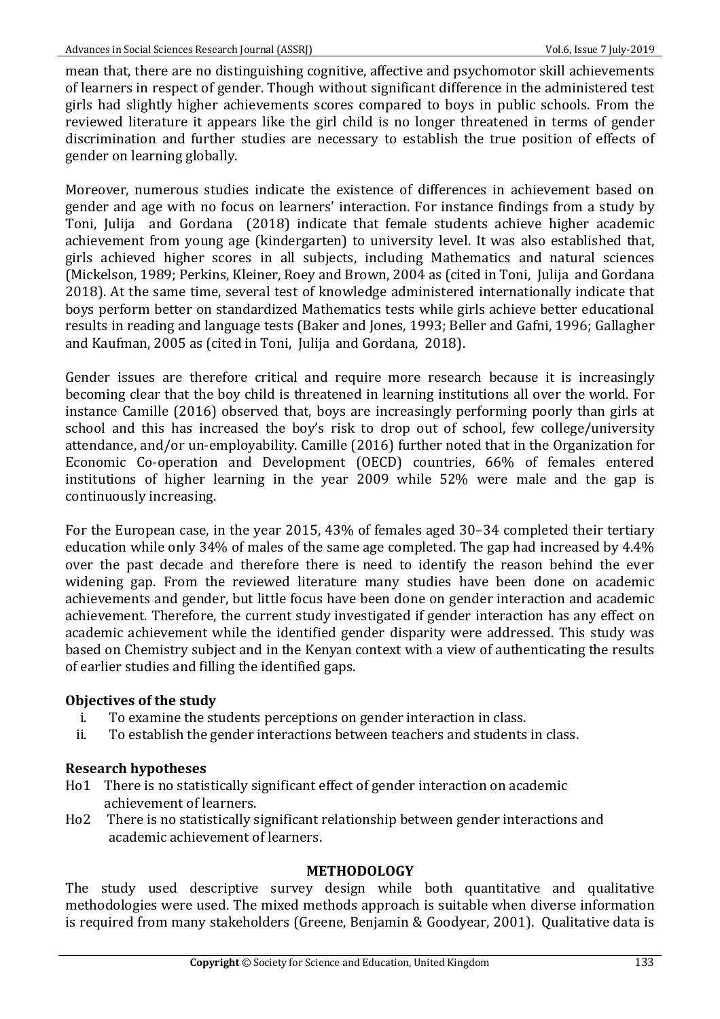mean that, there are no distinguishing cognitive, affective and psychomotor skill achievements of learners in respect of gender. Though without significant difference in the administered test girls had slightly higher achievements scores compared to boys in public schools. From the reviewed literature it appears like the girl child is no longer threatened in terms of gender discrimination and further studies are necessary to establish the true position of effects of gender on learning globally.

Moreover, numerous studies indicate the existence of differences in achievement based on gender and age with no focus on learners' interaction. For instance findings from a study by Toni, Julija and Gordana (2018) indicate that female students achieve higher academic achievement from young age (kindergarten) to university level. It was also established that, girls achieved higher scores in all subjects, including Mathematics and natural sciences (Mickelson, 1989; Perkins, Kleiner, Roey and Brown, 2004 as (cited in Toni, Julija and Gordana 2018). At the same time, several test of knowledge administered internationally indicate that boys perform better on standardized Mathematics tests while girls achieve better educational results in reading and language tests (Baker and Jones, 1993; Beller and Gafni, 1996; Gallagher and Kaufman, 2005 as (cited in Toni, Julija and Gordana, 2018).

Gender issues are therefore critical and require more research because it is increasingly becoming clear that the boy child is threatened in learning institutions all over the world. For instance Camille (2016) observed that, boys are increasingly performing poorly than girls at school and this has increased the boy's risk to drop out of school, few college/university attendance, and/or un-employability. Camille (2016) further noted that in the Organization for Economic Co-operation and Development (OECD) countries, 66% of females entered institutions of higher learning in the year 2009 while 52% were male and the gap is continuously increasing.

For the European case, in the year 2015, 43% of females aged 30–34 completed their tertiary education while only  $34\%$  of males of the same age completed. The gap had increased by  $4.4\%$ over the past decade and therefore there is need to identify the reason behind the ever widening gap. From the reviewed literature many studies have been done on academic achievements and gender, but little focus have been done on gender interaction and academic achievement. Therefore, the current study investigated if gender interaction has any effect on academic achievement while the identified gender disparity were addressed. This study was based on Chemistry subject and in the Kenyan context with a view of authenticating the results of earlier studies and filling the identified gaps.

## **Objectives of the study**

- i. To examine the students perceptions on gender interaction in class.
- ii. To establish the gender interactions between teachers and students in class.

## **Research hypotheses**

- Ho1 There is no statistically significant effect of gender interaction on academic achievement of learners.
- Ho2 There is no statistically significant relationship between gender interactions and academic achievement of learners.

## **METHODOLOGY**

The study used descriptive survey design while both quantitative and qualitative methodologies were used. The mixed methods approach is suitable when diverse information is required from many stakeholders (Greene, Benjamin & Goodyear, 2001). Qualitative data is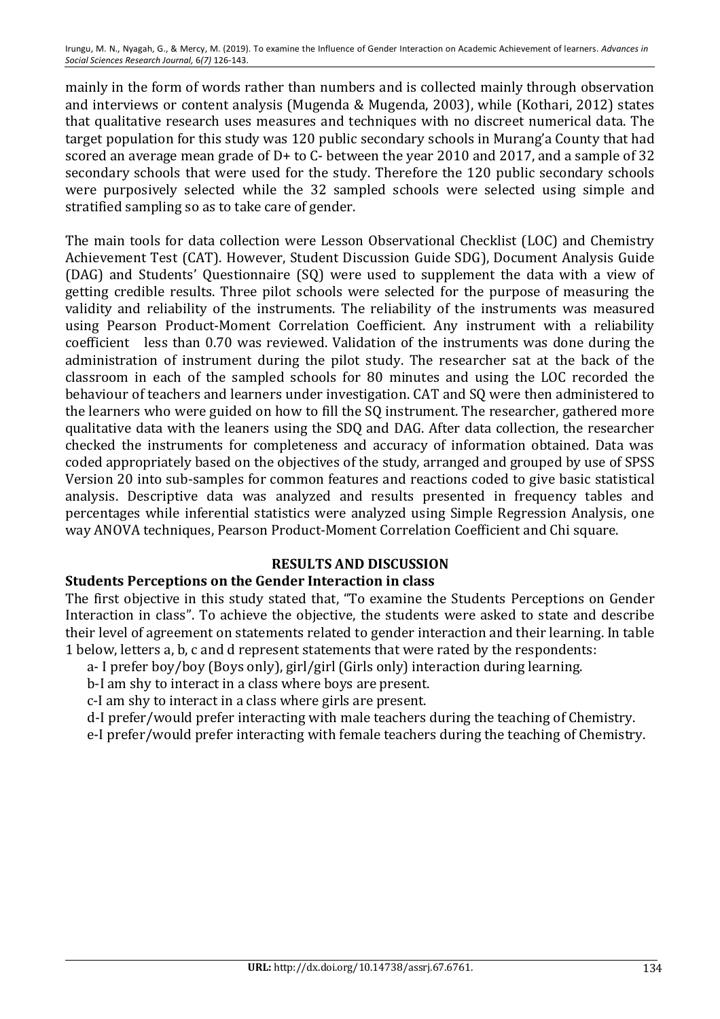mainly in the form of words rather than numbers and is collected mainly through observation and interviews or content analysis (Mugenda & Mugenda, 2003), while (Kothari, 2012) states that qualitative research uses measures and techniques with no discreet numerical data. The target population for this study was 120 public secondary schools in Murang'a County that had scored an average mean grade of  $D+$  to  $C-$  between the year 2010 and 2017, and a sample of 32 secondary schools that were used for the study. Therefore the 120 public secondary schools were purposively selected while the 32 sampled schools were selected using simple and stratified sampling so as to take care of gender.

The main tools for data collection were Lesson Observational Checklist (LOC) and Chemistry Achievement Test (CAT). However, Student Discussion Guide SDG), Document Analysis Guide (DAG) and Students' Questionnaire (SQ) were used to supplement the data with a view of getting credible results. Three pilot schools were selected for the purpose of measuring the validity and reliability of the instruments. The reliability of the instruments was measured using Pearson Product-Moment Correlation Coefficient. Any instrument with a reliability coefficient less than 0.70 was reviewed. Validation of the instruments was done during the administration of instrument during the pilot study. The researcher sat at the back of the classroom in each of the sampled schools for 80 minutes and using the LOC recorded the behaviour of teachers and learners under investigation. CAT and SQ were then administered to the learners who were guided on how to fill the SQ instrument. The researcher, gathered more qualitative data with the leaners using the SDQ and DAG. After data collection, the researcher checked the instruments for completeness and accuracy of information obtained. Data was coded appropriately based on the objectives of the study, arranged and grouped by use of SPSS Version 20 into sub-samples for common features and reactions coded to give basic statistical analysis. Descriptive data was analyzed and results presented in frequency tables and percentages while inferential statistics were analyzed using Simple Regression Analysis, one way ANOVA techniques, Pearson Product-Moment Correlation Coefficient and Chi square.

# **RESULTS AND DISCUSSION**

## **Students Perceptions on the Gender Interaction in class**

The first objective in this study stated that, "To examine the Students Perceptions on Gender Interaction in class". To achieve the objective, the students were asked to state and describe their level of agreement on statements related to gender interaction and their learning. In table 1 below, letters a, b, c and d represent statements that were rated by the respondents:

- a- I prefer boy/boy (Boys only), girl/girl (Girls only) interaction during learning.
- b-I am shy to interact in a class where boys are present.
- c-I am shy to interact in a class where girls are present.
- d-I prefer/would prefer interacting with male teachers during the teaching of Chemistry.
- e-I prefer/would prefer interacting with female teachers during the teaching of Chemistry.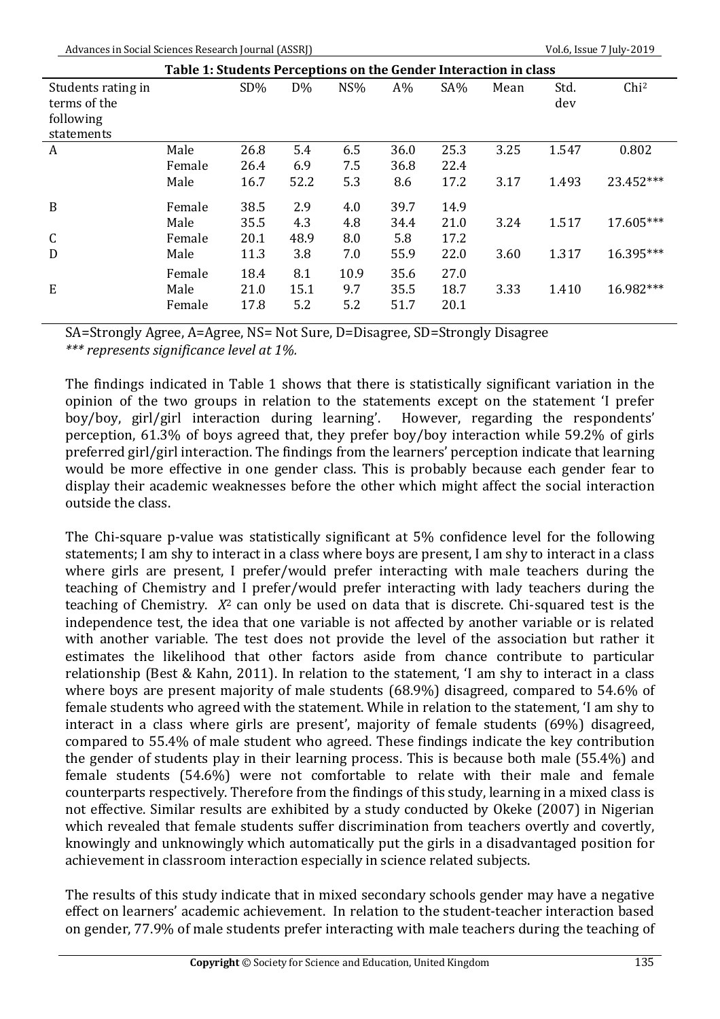Advances in Social Sciences Research Journal (ASSRJ) Same Company of Collection Company Vol.6, Issue 7 July-2019

|                                                               | Table 1: Students Perceptions on the Gender Interaction in class |              |                    |             |              |              |      |             |                  |
|---------------------------------------------------------------|------------------------------------------------------------------|--------------|--------------------|-------------|--------------|--------------|------|-------------|------------------|
| Students rating in<br>terms of the<br>following<br>statements |                                                                  | $SD\%$       | $D\%$              | NS%         | $A\%$        | $SA\%$       | Mean | Std.<br>dev | Chi <sup>2</sup> |
| A                                                             | Male<br>Female                                                   | 26.8<br>26.4 | 5.4<br>6.9         | 6.5<br>7.5  | 36.0<br>36.8 | 25.3<br>22.4 | 3.25 | 1.547       | 0.802            |
|                                                               | Male                                                             | 16.7         | 52.2               | 5.3         | 8.6          | 17.2         | 3.17 | 1.493       | 23.452***        |
| B                                                             | Female<br>Male                                                   | 38.5<br>35.5 | 2.9<br>4.3         | 4.0         | 39.7<br>34.4 | 14.9<br>21.0 |      | 1.517       | 17.605***        |
| $\mathsf{C}$                                                  | Female                                                           | 20.1         | 48.9               | 4.8<br>8.0  | 5.8          | 17.2         | 3.24 |             |                  |
| D                                                             | Male                                                             | 11.3<br>18.4 | 3.8                | 7.0<br>10.9 | 55.9<br>35.6 | 22.0<br>27.0 | 3.60 | 1.317       | 16.395***        |
| E                                                             | Female<br>Male<br>Female                                         | 21.0<br>17.8 | 8.1<br>15.1<br>5.2 | 9.7<br>5.2  | 35.5<br>51.7 | 18.7<br>20.1 | 3.33 | 1.410       | 16.982***        |

SA=Strongly Agree, A=Agree, NS= Not Sure, D=Disagree, SD=Strongly Disagree

*\*\*\* represents significance level at 1%.* 

The findings indicated in Table 1 shows that there is statistically significant variation in the opinion of the two groups in relation to the statements except on the statement 'I prefer boy/boy, girl/girl interaction during learning'. However, regarding the respondents' perception, 61.3% of boys agreed that, they prefer boy/boy interaction while 59.2% of girls preferred girl/girl interaction. The findings from the learners' perception indicate that learning would be more effective in one gender class. This is probably because each gender fear to display their academic weaknesses before the other which might affect the social interaction outside the class.

The Chi-square p-value was statistically significant at 5% confidence level for the following statements; I am shy to interact in a class where boys are present, I am shy to interact in a class where girls are present, I prefer/would prefer interacting with male teachers during the teaching of Chemistry and I prefer/would prefer interacting with lady teachers during the teaching of Chemistry.  $X^2$  can only be used on data that is discrete. Chi-squared test is the independence test, the idea that one variable is not affected by another variable or is related with another variable. The test does not provide the level of the association but rather it estimates the likelihood that other factors aside from chance contribute to particular relationship (Best & Kahn, 2011). In relation to the statement, 'I am shy to interact in a class where boys are present majority of male students  $(68.9%)$  disagreed, compared to 54.6% of female students who agreed with the statement. While in relation to the statement, 'I am shy to interact in a class where girls are present', majority of female students (69%) disagreed, compared to 55.4% of male student who agreed. These findings indicate the key contribution the gender of students play in their learning process. This is because both male  $(55.4%)$  and female students (54.6%) were not comfortable to relate with their male and female counterparts respectively. Therefore from the findings of this study, learning in a mixed class is not effective. Similar results are exhibited by a study conducted by Okeke (2007) in Nigerian which revealed that female students suffer discrimination from teachers overtly and covertly, knowingly and unknowingly which automatically put the girls in a disadvantaged position for achievement in classroom interaction especially in science related subjects.

The results of this study indicate that in mixed secondary schools gender may have a negative effect on learners' academic achievement. In relation to the student-teacher interaction based on gender, 77.9% of male students prefer interacting with male teachers during the teaching of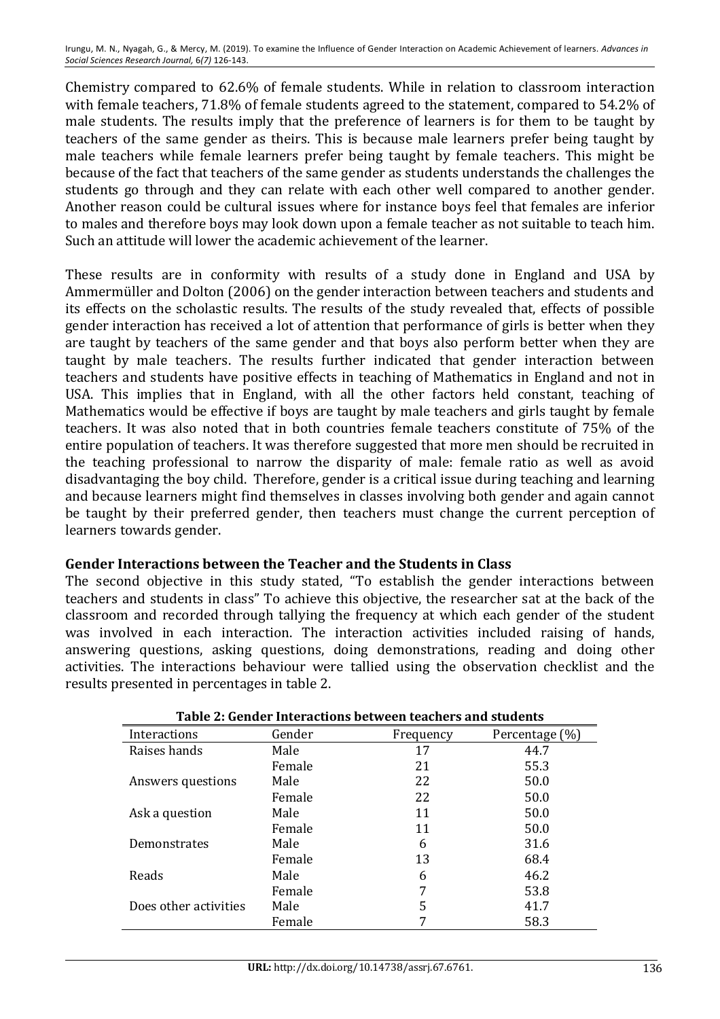Chemistry compared to 62.6% of female students. While in relation to classroom interaction with female teachers, 71.8% of female students agreed to the statement, compared to 54.2% of male students. The results imply that the preference of learners is for them to be taught by teachers of the same gender as theirs. This is because male learners prefer being taught by male teachers while female learners prefer being taught by female teachers. This might be because of the fact that teachers of the same gender as students understands the challenges the students go through and they can relate with each other well compared to another gender. Another reason could be cultural issues where for instance boys feel that females are inferior to males and therefore boys may look down upon a female teacher as not suitable to teach him. Such an attitude will lower the academic achievement of the learner.

These results are in conformity with results of a study done in England and USA by Ammermüller and Dolton (2006) on the gender interaction between teachers and students and its effects on the scholastic results. The results of the study revealed that, effects of possible gender interaction has received a lot of attention that performance of girls is better when they are taught by teachers of the same gender and that boys also perform better when they are taught by male teachers. The results further indicated that gender interaction between teachers and students have positive effects in teaching of Mathematics in England and not in USA. This implies that in England, with all the other factors held constant, teaching of Mathematics would be effective if boys are taught by male teachers and girls taught by female teachers. It was also noted that in both countries female teachers constitute of 75% of the entire population of teachers. It was therefore suggested that more men should be recruited in the teaching professional to narrow the disparity of male: female ratio as well as avoid disadvantaging the boy child. Therefore, gender is a critical issue during teaching and learning and because learners might find themselves in classes involving both gender and again cannot be taught by their preferred gender, then teachers must change the current perception of learners towards gender.

## **Gender Interactions between the Teacher and the Students in Class**

The second objective in this study stated, "To establish the gender interactions between teachers and students in class" To achieve this objective, the researcher sat at the back of the classroom and recorded through tallying the frequency at which each gender of the student was involved in each interaction. The interaction activities included raising of hands, answering questions, asking questions, doing demonstrations, reading and doing other activities. The interactions behaviour were tallied using the observation checklist and the results presented in percentages in table 2.

| Table 2: Gender Interactions between teachers and students |        |           |                |  |
|------------------------------------------------------------|--------|-----------|----------------|--|
| Interactions                                               | Gender | Frequency | Percentage (%) |  |
| Raises hands                                               | Male   | 17        | 44.7           |  |
|                                                            | Female | 21        | 55.3           |  |
| Answers questions                                          | Male   | 22        | 50.0           |  |
|                                                            | Female | 22        | 50.0           |  |
| Ask a question                                             | Male   | 11        | 50.0           |  |
|                                                            | Female | 11        | 50.0           |  |
| Demonstrates                                               | Male   | 6         | 31.6           |  |
|                                                            | Female | 13        | 68.4           |  |
| Reads                                                      | Male   | 6         | 46.2           |  |
|                                                            | Female | 7         | 53.8           |  |
| Does other activities                                      | Male   | 5         | 41.7           |  |
|                                                            | Female | 7         | 58.3           |  |

| Table 2: Gender Interactions between teachers and students |
|------------------------------------------------------------|
|                                                            |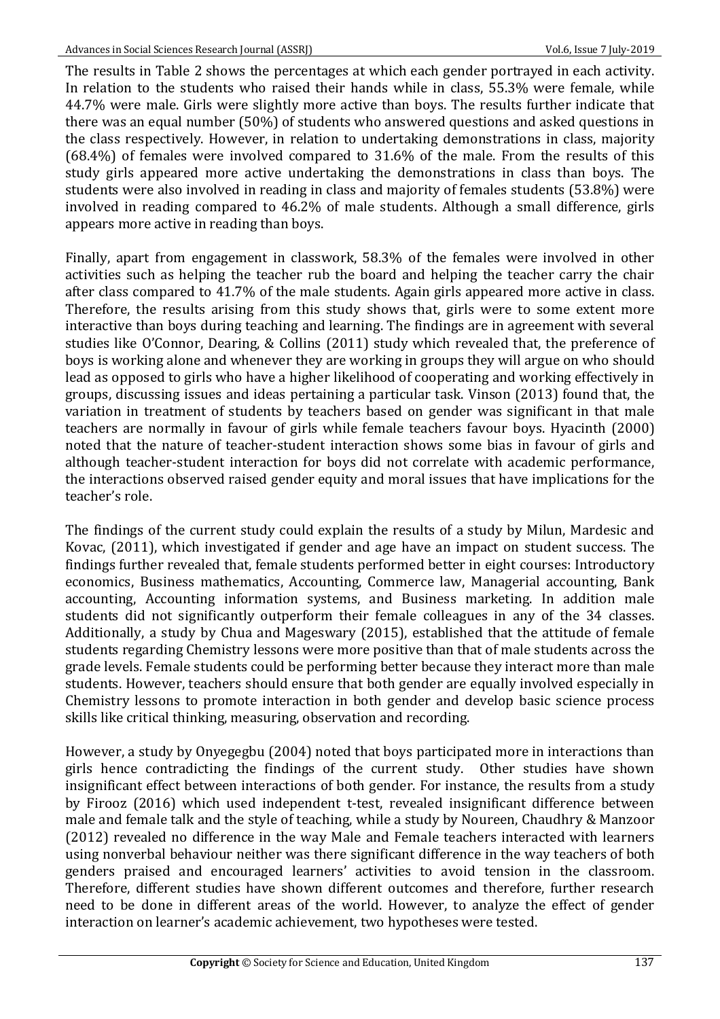The results in Table 2 shows the percentages at which each gender portrayed in each activity. In relation to the students who raised their hands while in class,  $55.3\%$  were female, while 44.7% were male. Girls were slightly more active than boys. The results further indicate that there was an equal number  $(50\%)$  of students who answered questions and asked questions in the class respectively. However, in relation to undertaking demonstrations in class, majority  $(68.4%)$  of females were involved compared to  $31.6%$  of the male. From the results of this study girls appeared more active undertaking the demonstrations in class than boys. The students were also involved in reading in class and majority of females students (53.8%) were involved in reading compared to 46.2% of male students. Although a small difference, girls appears more active in reading than boys.

Finally, apart from engagement in classwork, 58.3% of the females were involved in other activities such as helping the teacher rub the board and helping the teacher carry the chair after class compared to 41.7% of the male students. Again girls appeared more active in class. Therefore, the results arising from this study shows that, girls were to some extent more interactive than boys during teaching and learning. The findings are in agreement with several studies like O'Connor, Dearing, & Collins (2011) study which revealed that, the preference of boys is working alone and whenever they are working in groups they will argue on who should lead as opposed to girls who have a higher likelihood of cooperating and working effectively in groups, discussing issues and ideas pertaining a particular task. Vinson (2013) found that, the variation in treatment of students by teachers based on gender was significant in that male teachers are normally in favour of girls while female teachers favour boys. Hyacinth (2000) noted that the nature of teacher-student interaction shows some bias in favour of girls and although teacher-student interaction for boys did not correlate with academic performance, the interactions observed raised gender equity and moral issues that have implications for the teacher's role.

The findings of the current study could explain the results of a study by Milun, Mardesic and Kovac, (2011), which investigated if gender and age have an impact on student success. The findings further revealed that, female students performed better in eight courses: Introductory economics, Business mathematics, Accounting, Commerce law, Managerial accounting, Bank accounting, Accounting information systems, and Business marketing. In addition male students did not significantly outperform their female colleagues in any of the 34 classes. Additionally, a study by Chua and Mageswary (2015), established that the attitude of female students regarding Chemistry lessons were more positive than that of male students across the grade levels. Female students could be performing better because they interact more than male students. However, teachers should ensure that both gender are equally involved especially in Chemistry lessons to promote interaction in both gender and develop basic science process skills like critical thinking, measuring, observation and recording.

However, a study by Onyegegbu (2004) noted that boys participated more in interactions than girls hence contradicting the findings of the current study. Other studies have shown insignificant effect between interactions of both gender. For instance, the results from a study by Firooz (2016) which used independent t-test, revealed insignificant difference between male and female talk and the style of teaching, while a study by Noureen, Chaudhry & Manzoor (2012) revealed no difference in the way Male and Female teachers interacted with learners using nonverbal behaviour neither was there significant difference in the way teachers of both genders praised and encouraged learners' activities to avoid tension in the classroom. Therefore, different studies have shown different outcomes and therefore, further research need to be done in different areas of the world. However, to analyze the effect of gender interaction on learner's academic achievement, two hypotheses were tested.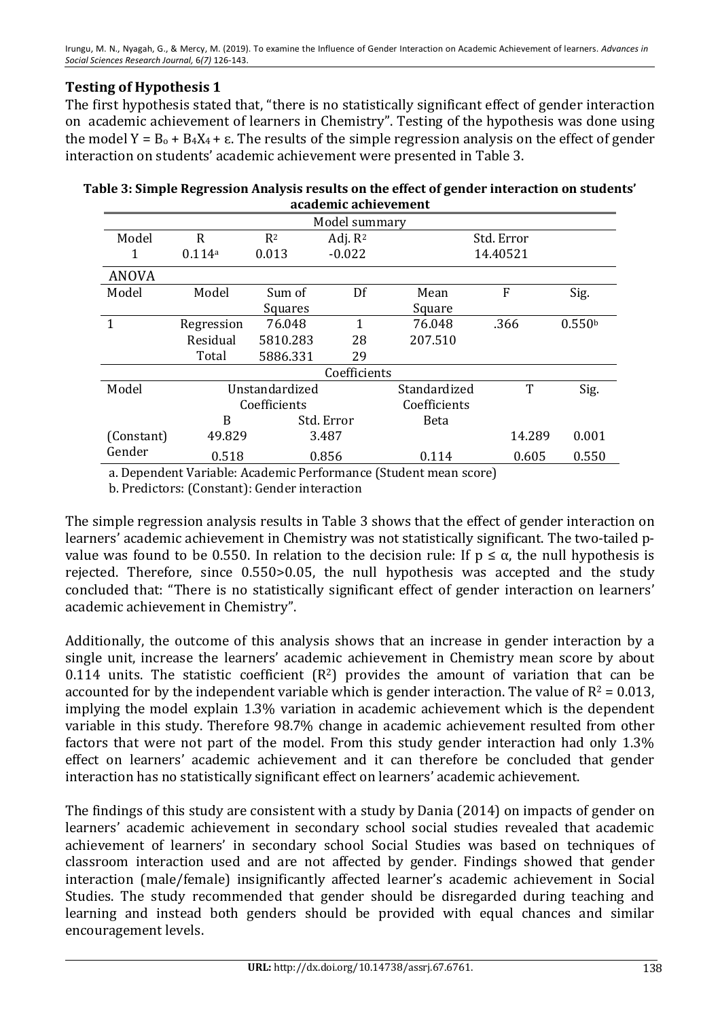# **Testing of Hypothesis 1**

The first hypothesis stated that, "there is no statistically significant effect of gender interaction on academic achievement of learners in Chemistry". Testing of the hypothesis was done using the model  $Y = B_0 + B_4X_4 + \varepsilon$ . The results of the simple regression analysis on the effect of gender interaction on students' academic achievement were presented in Table 3.

| Table 3: Simple Regression Analysis results on the effect of gender interaction on students' |
|----------------------------------------------------------------------------------------------|
| academic achievement                                                                         |

| Model summary |            |                |                |              |            |                    |
|---------------|------------|----------------|----------------|--------------|------------|--------------------|
| Model         | R          | R <sup>2</sup> | Adj. $R^2$     |              | Std. Error |                    |
| 1             | 0.114a     | 0.013          | $-0.022$       |              | 14.40521   |                    |
| <b>ANOVA</b>  |            |                |                |              |            |                    |
| Model         | Model      | Sum of         | $\mathbf{D}$ f | Mean         | F          | Sig.               |
|               |            | Squares        |                | Square       |            |                    |
| 1             | Regression | 76.048         | 1              | 76.048       | .366       | 0.550 <sup>b</sup> |
|               | Residual   | 5810.283       | 28             | 207.510      |            |                    |
|               | Total      | 5886.331       | 29             |              |            |                    |
|               |            |                | Coefficients   |              |            |                    |
| Model         |            | Unstandardized |                | Standardized | T          | Sig.               |
|               |            | Coefficients   |                |              |            |                    |
|               | B          |                | Std. Error     | <b>Beta</b>  |            |                    |
| (Constant)    | 49.829     |                | 3.487          |              | 14.289     | 0.001              |
| Gender        | 0.518      |                | 0.856          | 0.114        | 0.605      | 0.550              |

a. Dependent Variable: Academic Performance (Student mean score)

b. Predictors: (Constant): Gender interaction

The simple regression analysis results in Table 3 shows that the effect of gender interaction on learners' academic achievement in Chemistry was not statistically significant. The two-tailed pvalue was found to be 0.550. In relation to the decision rule: If  $p \leq \alpha$ , the null hypothesis is rejected. Therefore, since  $0.550 > 0.05$ , the null hypothesis was accepted and the study concluded that: "There is no statistically significant effect of gender interaction on learners' academic achievement in Chemistry".

Additionally, the outcome of this analysis shows that an increase in gender interaction by a single unit, increase the learners' academic achievement in Chemistry mean score by about 0.114 units. The statistic coefficient  $(R^2)$  provides the amount of variation that can be accounted for by the independent variable which is gender interaction. The value of  $R^2 = 0.013$ , implying the model explain 1.3% variation in academic achievement which is the dependent variable in this study. Therefore 98.7% change in academic achievement resulted from other factors that were not part of the model. From this study gender interaction had only 1.3% effect on learners' academic achievement and it can therefore be concluded that gender interaction has no statistically significant effect on learners' academic achievement.

The findings of this study are consistent with a study by Dania (2014) on impacts of gender on learners' academic achievement in secondary school social studies revealed that academic achievement of learners' in secondary school Social Studies was based on techniques of classroom interaction used and are not affected by gender. Findings showed that gender interaction (male/female) insignificantly affected learner's academic achievement in Social Studies. The study recommended that gender should be disregarded during teaching and learning and instead both genders should be provided with equal chances and similar encouragement levels.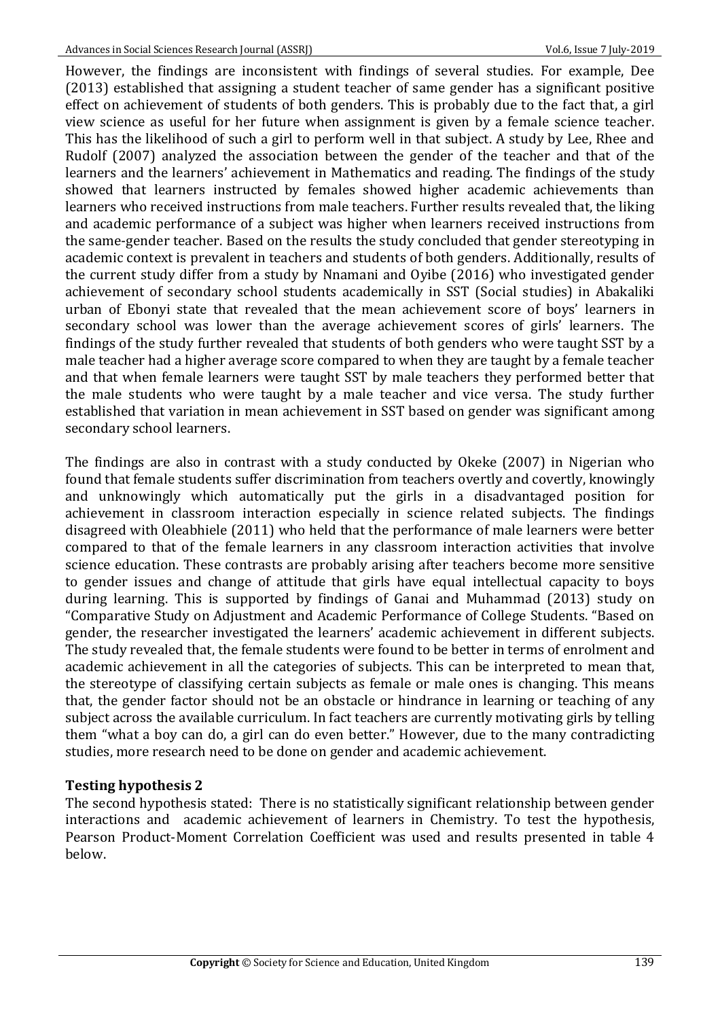However, the findings are inconsistent with findings of several studies. For example, Dee (2013) established that assigning a student teacher of same gender has a significant positive effect on achievement of students of both genders. This is probably due to the fact that, a girl view science as useful for her future when assignment is given by a female science teacher. This has the likelihood of such a girl to perform well in that subject. A study by Lee, Rhee and Rudolf (2007) analyzed the association between the gender of the teacher and that of the learners and the learners' achievement in Mathematics and reading. The findings of the study showed that learners instructed by females showed higher academic achievements than learners who received instructions from male teachers. Further results revealed that, the liking and academic performance of a subject was higher when learners received instructions from the same-gender teacher. Based on the results the study concluded that gender stereotyping in academic context is prevalent in teachers and students of both genders. Additionally, results of the current study differ from a study by Nnamani and Oyibe (2016) who investigated gender achievement of secondary school students academically in SST (Social studies) in Abakaliki urban of Ebonyi state that revealed that the mean achievement score of boys' learners in secondary school was lower than the average achievement scores of girls' learners. The findings of the study further revealed that students of both genders who were taught SST by a male teacher had a higher average score compared to when they are taught by a female teacher and that when female learners were taught SST by male teachers they performed better that the male students who were taught by a male teacher and vice versa. The study further established that variation in mean achievement in SST based on gender was significant among secondary school learners.

The findings are also in contrast with a study conducted by Okeke (2007) in Nigerian who found that female students suffer discrimination from teachers overtly and covertly, knowingly and unknowingly which automatically put the girls in a disadvantaged position for achievement in classroom interaction especially in science related subjects. The findings disagreed with Oleabhiele (2011) who held that the performance of male learners were better compared to that of the female learners in any classroom interaction activities that involve science education. These contrasts are probably arising after teachers become more sensitive to gender issues and change of attitude that girls have equal intellectual capacity to boys during learning. This is supported by findings of Ganai and Muhammad (2013) study on "Comparative Study on Adjustment and Academic Performance of College Students. "Based on gender, the researcher investigated the learners' academic achievement in different subjects. The study revealed that, the female students were found to be better in terms of enrolment and academic achievement in all the categories of subjects. This can be interpreted to mean that, the stereotype of classifying certain subjects as female or male ones is changing. This means that, the gender factor should not be an obstacle or hindrance in learning or teaching of any subject across the available curriculum. In fact teachers are currently motivating girls by telling them "what a boy can do, a girl can do even better." However, due to the many contradicting studies, more research need to be done on gender and academic achievement.

## **Testing hypothesis 2**

The second hypothesis stated: There is no statistically significant relationship between gender interactions and academic achievement of learners in Chemistry. To test the hypothesis, Pearson Product-Moment Correlation Coefficient was used and results presented in table 4 below.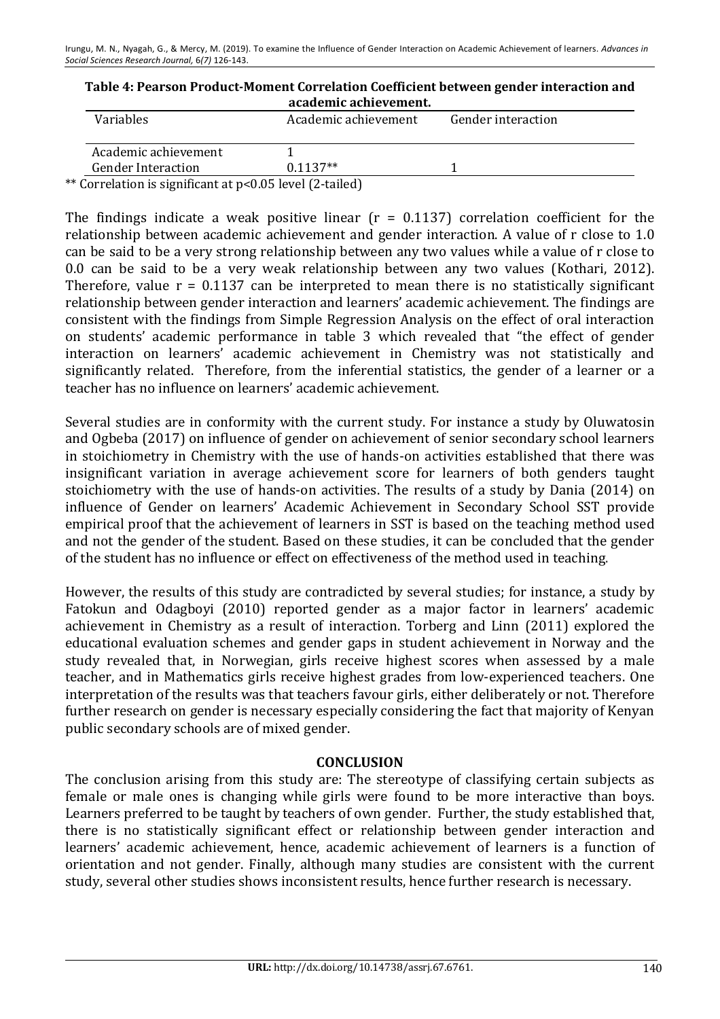| Table 4: Pearson Product-Moment Correlation Coefficient between gender interaction and |
|----------------------------------------------------------------------------------------|
| academic achievement.                                                                  |

| <b>Variables</b>          | Academic achievement | Gender interaction |
|---------------------------|----------------------|--------------------|
| Academic achievement      |                      |                    |
| <b>Gender Interaction</b> | $0.1137**$           |                    |
|                           |                      |                    |

\*\* Correlation is significant at  $p<0.05$  level (2-tailed)

The findings indicate a weak positive linear  $(r = 0.1137)$  correlation coefficient for the relationship between academic achievement and gender interaction. A value of r close to 1.0 can be said to be a very strong relationship between any two values while a value of r close to 0.0 can be said to be a very weak relationship between any two values (Kothari, 2012). Therefore, value  $r = 0.1137$  can be interpreted to mean there is no statistically significant relationship between gender interaction and learners' academic achievement. The findings are consistent with the findings from Simple Regression Analysis on the effect of oral interaction on students' academic performance in table 3 which revealed that "the effect of gender interaction on learners' academic achievement in Chemistry was not statistically and significantly related. Therefore, from the inferential statistics, the gender of a learner or a teacher has no influence on learners' academic achievement.

Several studies are in conformity with the current study. For instance a study by Oluwatosin and Ogbeba (2017) on influence of gender on achievement of senior secondary school learners in stoichiometry in Chemistry with the use of hands-on activities established that there was insignificant variation in average achievement score for learners of both genders taught stoichiometry with the use of hands-on activities. The results of a study by Dania (2014) on influence of Gender on learners' Academic Achievement in Secondary School SST provide empirical proof that the achievement of learners in SST is based on the teaching method used and not the gender of the student. Based on these studies, it can be concluded that the gender of the student has no influence or effect on effectiveness of the method used in teaching.

However, the results of this study are contradicted by several studies; for instance, a study by Fatokun and Odagboyi (2010) reported gender as a major factor in learners' academic achievement in Chemistry as a result of interaction. Torberg and Linn (2011) explored the educational evaluation schemes and gender gaps in student achievement in Norway and the study revealed that, in Norwegian, girls receive highest scores when assessed by a male teacher, and in Mathematics girls receive highest grades from low-experienced teachers. One interpretation of the results was that teachers favour girls, either deliberately or not. Therefore further research on gender is necessary especially considering the fact that majority of Kenyan public secondary schools are of mixed gender.

## **CONCLUSION**

The conclusion arising from this study are: The stereotype of classifying certain subjects as female or male ones is changing while girls were found to be more interactive than boys. Learners preferred to be taught by teachers of own gender. Further, the study established that, there is no statistically significant effect or relationship between gender interaction and learners' academic achievement, hence, academic achievement of learners is a function of orientation and not gender. Finally, although many studies are consistent with the current study, several other studies shows inconsistent results, hence further research is necessary.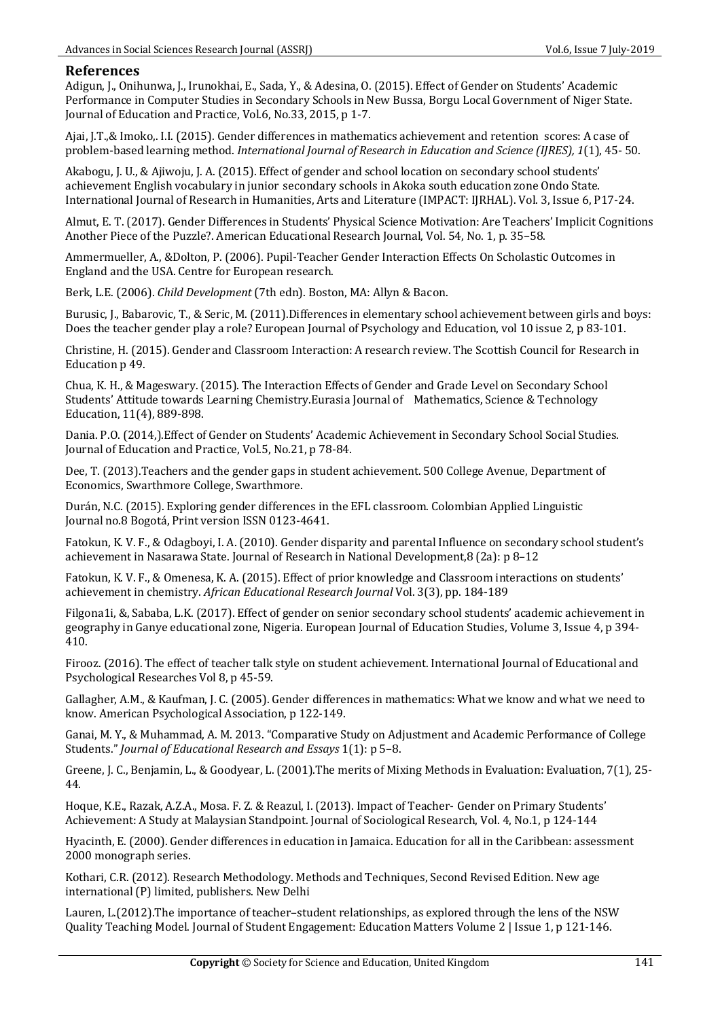#### **References**

Adigun, J., Onihunwa, J., Irunokhai, E., Sada, Y., & Adesina, O. (2015). Effect of Gender on Students' Academic Performance in Computer Studies in Secondary Schools in New Bussa, Borgu Local Government of Niger State. Journal of Education and Practice, Vol.6, No.33, 2015, p 1-7.

Ajai, J.T.,& Imoko,. I.I. (2015). Gender differences in mathematics achievement and retention scores: A case of problem-based learning method. *International Journal of Research in Education and Science (IJRES), 1*(1), 45- 50.

Akabogu, J. U., & Ajiwoju, J. A. (2015). Effect of gender and school location on secondary school students' achievement English vocabulary in junior secondary schools in Akoka south education zone Ondo State. International Journal of Research in Humanities, Arts and Literature (IMPACT: IJRHAL). Vol. 3, Issue 6, P17-24.

Almut, E. T. (2017). Gender Differences in Students' Physical Science Motivation: Are Teachers' Implicit Cognitions Another Piece of the Puzzle?. American Educational Research Journal, Vol. 54, No. 1, p. 35–58.

Ammermueller, A., &Dolton, P. (2006). Pupil-Teacher Gender Interaction Effects On Scholastic Outcomes in England and the USA. Centre for European research.

Berk, L.E. (2006). *Child Development* (7th edn). Boston, MA: Allyn & Bacon.

Burusic, J., Babarovic, T., & Seric, M. (2011).Differences in elementary school achievement between girls and boys: Does the teacher gender play a role? European Journal of Psychology and Education, vol 10 issue 2, p 83-101.

Christine, H. (2015). Gender and Classroom Interaction: A research review. The Scottish Council for Research in Education p 49.

Chua, K. H., & Mageswary. (2015). The Interaction Effects of Gender and Grade Level on Secondary School Students' Attitude towards Learning Chemistry.Eurasia Journal of Mathematics, Science & Technology Education, 11(4), 889-898.

Dania. P.O. (2014.). Effect of Gender on Students' Academic Achievement in Secondary School Social Studies. Journal of Education and Practice, Vol.5, No.21, p 78-84.

Dee, T. (2013). Teachers and the gender gaps in student achievement. 500 College Avenue, Department of Economics, Swarthmore College, Swarthmore.

Durán, N.C. (2015). Exploring gender differences in the EFL classroom. Colombian Applied Linguistic Journal no.8 Bogotá, Print version ISSN 0123-4641.

Fatokun, K. V. F., & Odagboyi, I. A. (2010). Gender disparity and parental Influence on secondary school student's achievement in Nasarawa State. Journal of Research in National Development,  $8$  (2a):  $p$  8-12

Fatokun, K. V. F., & Omenesa, K. A. (2015). Effect of prior knowledge and Classroom interactions on students' achievement in chemistry. *African Educational Research Journal* Vol. 3(3), pp. 184-189

Filgona1i, &, Sababa, L.K. (2017). Effect of gender on senior secondary school students' academic achievement in geography in Ganye educational zone, Nigeria. European Journal of Education Studies, Volume 3, Issue 4, p 394-410.

Firooz. (2016). The effect of teacher talk style on student achievement. International Journal of Educational and Psychological Researches Vol 8, p 45-59.

Gallagher, A.M., & Kaufman, J. C. (2005). Gender differences in mathematics: What we know and what we need to know. American Psychological Association, p 122-149.

Ganai, M. Y., & Muhammad, A. M. 2013. "Comparative Study on Adjustment and Academic Performance of College Students." *Journal of Educational Research and Essays* 1(1): p 5-8.

Greene, J. C., Benjamin, L., & Goodyear, L. (2001). The merits of Mixing Methods in Evaluation: Evaluation, 7(1), 25-44.

Hoque, K.E., Razak, A.Z.A., Mosa. F. Z. & Reazul, I. (2013). Impact of Teacher- Gender on Primary Students' Achievement: A Study at Malaysian Standpoint. Journal of Sociological Research, Vol. 4, No.1, p 124-144

Hyacinth, E. (2000). Gender differences in education in Jamaica. Education for all in the Caribbean: assessment 2000 monograph series.

Kothari, C.R. (2012). Research Methodology. Methods and Techniques, Second Revised Edition. New age international (P) limited, publishers. New Delhi

Lauren, L.(2012).The importance of teacher–student relationships, as explored through the lens of the NSW Quality Teaching Model. Journal of Student Engagement: Education Matters Volume 2 | Issue 1, p 121-146.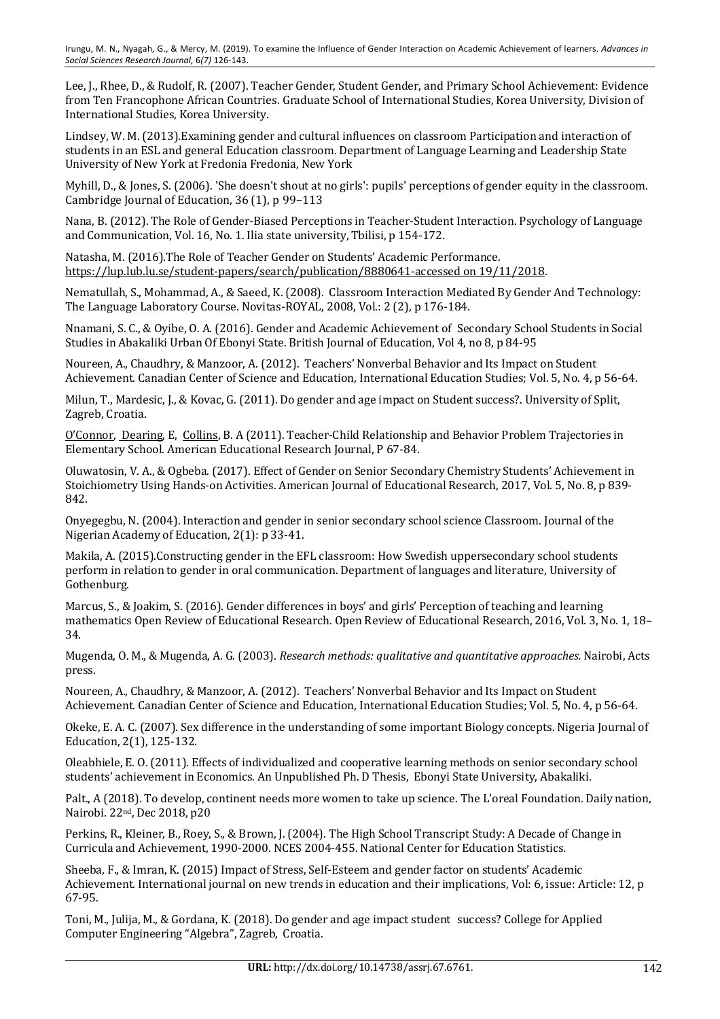Lee, J., Rhee, D., & Rudolf, R. (2007). Teacher Gender, Student Gender, and Primary School Achievement: Evidence from Ten Francophone African Countries. Graduate School of International Studies, Korea University, Division of International Studies, Korea University.

Lindsey, W. M. (2013). Examining gender and cultural influences on classroom Participation and interaction of students in an ESL and general Education classroom. Department of Language Learning and Leadership State University of New York at Fredonia Fredonia, New York

Myhill, D., & Jones, S. (2006). 'She doesn't shout at no girls': pupils' perceptions of gender equity in the classroom. Cambridge Journal of Education,  $36(1)$ , p 99-113

Nana, B. (2012). The Role of Gender-Biased Perceptions in Teacher-Student Interaction. Psychology of Language and Communication, Vol. 16, No. 1. Ilia state university, Tbilisi, p 154-172.

Natasha, M. (2016). The Role of Teacher Gender on Students' Academic Performance. https://lup.lub.lu.se/student-papers/search/publication/8880641-accessed on 19/11/2018.

Nematullah, S., Mohammad, A., & Saeed, K. (2008). Classroom Interaction Mediated By Gender And Technology: The Language Laboratory Course. Novitas-ROYAL, 2008, Vol.: 2 (2), p 176-184.

Nnamani, S. C., & Oyibe, O. A. (2016). Gender and Academic Achievement of Secondary School Students in Social Studies in Abakaliki Urban Of Ebonyi State. British Journal of Education, Vol 4, no 8, p 84-95

Noureen, A., Chaudhry, & Manzoor, A. (2012). Teachers' Nonverbal Behavior and Its Impact on Student Achievement. Canadian Center of Science and Education, International Education Studies; Vol. 5, No. 4, p 56-64.

Milun, T., Mardesic, J., & Kovac, G. (2011). Do gender and age impact on Student success?. University of Split, Zagreb, Croatia.

O'Connor, Dearing, E, Collins, B. A (2011). Teacher-Child Relationship and Behavior Problem Trajectories in Elementary School. American Educational Research Journal, P 67-84.

Oluwatosin, V. A., & Ogbeba. (2017). Effect of Gender on Senior Secondary Chemistry Students' Achievement in Stoichiometry Using Hands-on Activities. American Journal of Educational Research, 2017, Vol. 5, No. 8, p 839-842.

Onyegegbu, N. (2004). Interaction and gender in senior secondary school science Classroom. Journal of the Nigerian Academy of Education, 2(1): p 33-41.

Makila, A. (2015).Constructing gender in the EFL classroom: How Swedish uppersecondary school students perform in relation to gender in oral communication. Department of languages and literature, University of Gothenburg.

Marcus, S., & Joakim, S. (2016). Gender differences in boys' and girls' Perception of teaching and learning mathematics Open Review of Educational Research. Open Review of Educational Research, 2016, Vol. 3, No. 1, 18– 34.

Mugenda, O. M., & Mugenda, A. G. (2003). *Research methods: qualitative and quantitative approaches.* Nairobi, Acts press. 

Noureen, A., Chaudhry, & Manzoor, A. (2012). Teachers' Nonverbal Behavior and Its Impact on Student Achievement. Canadian Center of Science and Education, International Education Studies; Vol. 5, No. 4, p 56-64.

Okeke, E. A. C. (2007). Sex difference in the understanding of some important Biology concepts. Nigeria Journal of Education, 2(1), 125-132.

Oleabhiele, E. O. (2011). Effects of individualized and cooperative learning methods on senior secondary school students' achievement in Economics. An Unpublished Ph. D Thesis, Ebonyi State University, Abakaliki.

Palt., A (2018). To develop, continent needs more women to take up science. The L'oreal Foundation. Daily nation, Nairobi. 22<sup>nd</sup>, Dec 2018, p20

Perkins, R., Kleiner, B., Roey, S., & Brown, J. (2004). The High School Transcript Study: A Decade of Change in Curricula and Achievement, 1990-2000. NCES 2004-455. National Center for Education Statistics.

Sheeba, F., & Imran, K. (2015) Impact of Stress, Self-Esteem and gender factor on students' Academic Achievement. International journal on new trends in education and their implications, Vol: 6, issue: Article: 12, p 67-95.

Toni, M., Julija, M., & Gordana, K. (2018). Do gender and age impact student success? College for Applied Computer Engineering "Algebra", Zagreb, Croatia.